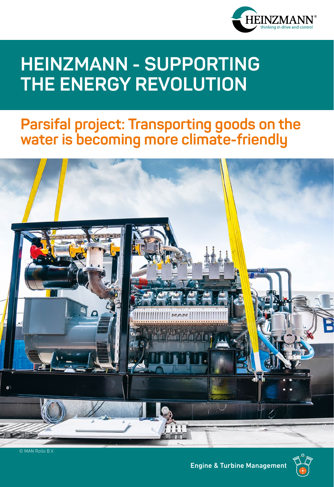

# **HEINZMANN - SUPPORTING THE ENERGY REVOLUTION**

## **Parsifal project: Transporting goods on the water is becoming more climate-friendly**



© MAN Rollo B.V.

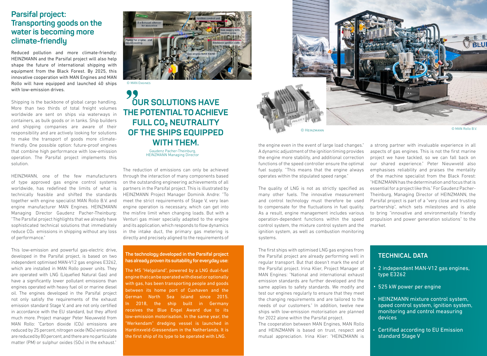## **Parsifal project: Transporting goods on the water is becoming more climate-friendly**

Reduced pollution and more climate-friendly: HEINZMANN and the Parsifal project will also help shape the future of international shipping with equipment from the Black Forest. By 2025, this innovative cooperation with MAN Engines and MAN Rollo will have equipped and launched 40 ships with low-emission drives.

Shipping is the backbone of global cargo handling. More than two thirds of total freight volumes worldwide are sent on ships via waterways in containers, as bulk goods or in tanks. Ship builders and shipping companies are aware of their responsibility and are actively looking for solutions to make the transport of goods more climatefriendly. One possible option: future-proof engines that combine high performance with low-emission operation. The Parsifal project implements this solution.

HEINZMANN, one of the few manufacturers of type approved gas engine control systems worldwide, has redefined the limits of what is technically feasible and shifted the standards together with engine specialist MAN Rollo B.V. and engine manufacturer MAN Engines. HEINZMANN Managing Director Gaudenz Pacher-Theinburg: "The Parsifal project highlights that we already have sophisticated technical solutions that immediately reduce CO2 emissions in shipping without any loss of performance."

This low-emission and powerful gas-electric drive, developed in the Parsifal project, is based on two independent optimised MAN-V12 gas engines E3262, which are installed in MAN Rollo power units. They are operated with LNG (Liquefied Natural Gas) and have a significantly lower pollutant emissions than engines operated with heavy fuel oil or marine diesel oil. The engines developed in the Parsifal project not only satisfy the requirements of the exhaust emission standard Stage V, and are not only certified in accordance with the EU standard, but they afford much more. Project manager Peter Nieuwveld from MAN Rollo: "Carbon dioxide (CO2) emissions are reduced by 25 percent, nitrogen oxide (NOx) emissions are reduced by 80 percent, and there are no particulate matter (PM) or sulphur oxides (SOx) in the exhaust."



© MAN Engines

## 99 **OUR SOLUTIONS HAVE THE POTENTIAL TO ACHIEVE FULL CO₂ NEUTRALITY OF THE SHIPS EQUIPPED WITH THEM.**

Gaudenz Pacher-Theinburg, HEINZMANN Managing Director

The reduction of emissions can only be achieved through the interaction of many components based on the outstanding engineering achievements of all partners in the Parsifal project. This is illustrated by HEINZMANN Project Manager Dominik Andre: "To meet the strict requirements of Stage V, very lean engine operation is necessary, which can get into the misfire limit when changing loads. But with a Venturi gas mixer specially adapted to the engine and its application, which responds to flow dynamics in the intake duct, the primary gas metering is directly and precisely aligned to the requirements of

**The technology developed in the Parsifal project has already proven its suitability for everyday use:** 

The MS "Helgoland", powered by a LNG dual-fuel engine that can be operated with diesel or optionally with gas, has been transporting people and goods between its home port of Cuxhaven and the German North Sea island since 2015. In 2018, the ship built in Germany receives the Blue Engel Award due to its low-emission motorisation. In the same year, the "Werkendam" dredging vessel is launched in Hardinxveld-Giessendam in the Netherlands. It is the first ship of its type to be operated with LNG.



the engine even in the event of large load changes." A dynamic adjustment of the ignition timing provides the engine more stability, and additional correction functions of the speed controller ensure the optimal fuel supply. "This means that the engine always operates within the stipulated speed range."

The quality of LNG is not as strictly specified as many other fuels. The innovative measurement and control technology must therefore be used to compensate for the fluctuations in fuel quality. As a result, engine management includes various operation-dependent functions within the speed control system, the mixture control system and the ignition system, as well as combustion monitoring systems.

The first ships with optimised LNG gas engines from the Parsifal project are already performing well in regular transport. But that doesn't mark the end of the Parsifal project. Irina Klier, Project Manager at MAN Engines: "National and international exhaust emission standards are further developed and the same applies to safety standards. We modify and test our engines regularly to ensure that they meet the changing requirements and are tailored to the needs of our customers." In addition, twelve new ships with low-emission motorisation are planned for 2022 alone within the Parsifal project.

The cooperation between MAN Engines, MAN Rollo and HEINZMANN is based on trust, respect and mutual appreciation. Irina Klier: "HEINZMANN is a strong partner with invaluable experience in all aspects of gas engines. This is not the first marine project we have tackled, so we can fall back on our shared experience." Peter Nieuwveld also emphasises reliability and praises the mentality of the machine specialist from the Black Forest: "HEINZMANN has the determination and focus that is essential for a project like this." For Gaudenz Pacher-Theinburg, Managing Director of HEINZMANN, the Parsifal project is part of a "very close and trusting partnership", which sets milestones and is able to bring "innovative and environmentally friendly propulsion and power generation solutions" to the market.

### TECHNICAL DATA

- 2 independent MAN-V12 gas engines, **·** type E3262
- 525 kW power per engine **·**
- HEINZMANN mixture control system, **·** speed control system, ignition system, monitoring and control measuring devices
- Certified according to EU Emission **·** standard Stage V